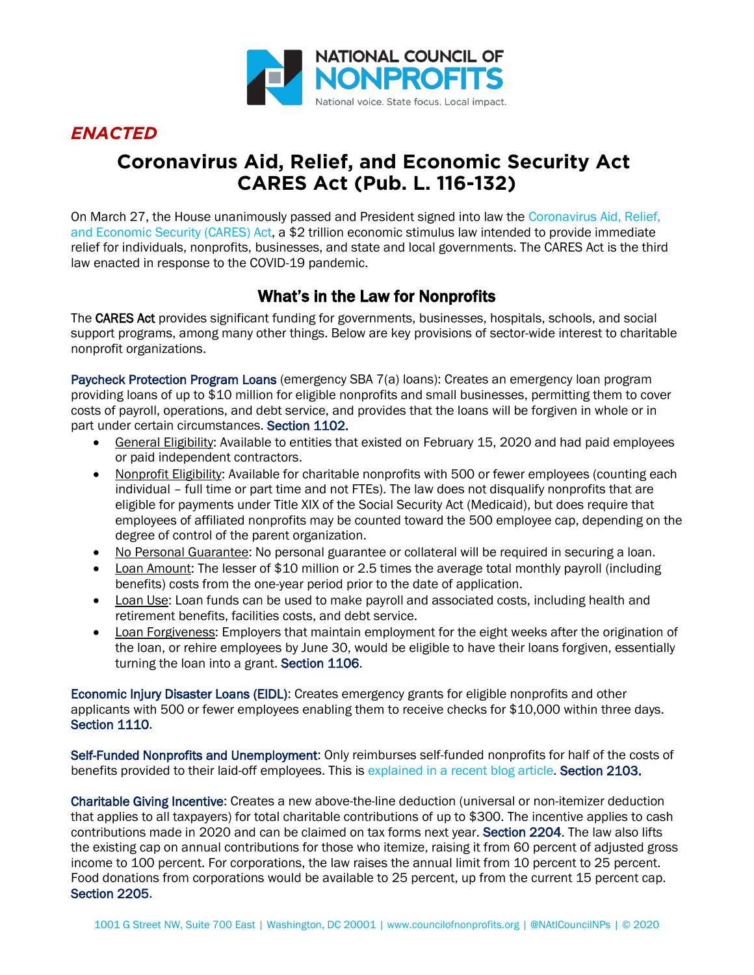

## *ENACTED*

# **Coronavirus Aid, Relief, and Economic Security Act CARES Act (Pub. L. 116-132)**

On March 27, the House unanimously passed and President signed into law the Coronavirus Aid, Relief, and Economic Security (CARES) Act, a \$2 trillion economic stimulus law intended to provide immediate relief for individuals, nonprofits, businesses, and state and local governments. The CARES Act is the third law enacted in response to the COVID-19 pandemic.

### What's in the Law for Nonprofits

The CARES Act provides significant funding for governments, businesses, hospitals, schools, and social support programs, among many other things. Below are key provisions of sector-wide interest to charitable nonprofit organizations.

Paycheck Protection Program Loans (emergency SBA 7(a) loans): Creates an emergency loan program providing loans of up to \$10 million for eligible nonprofits and small businesses, permitting them to cover costs of payroll, operations, and debt service, and provides that the loans will be forgiven in whole or in part under certain circumstances. Section 1102.

- General Eligibility: Available to entities that existed on February 15, 2020 and had paid employees or paid independent contractors.
- Nonprofit Eligibility: Available for charitable nonprofits with 500 or fewer employees (counting each individual - full time or part time and not FTEs). The law does not disqualify nonprofits that are eligible for payments under Title XIX of the Social Security Act (Medicaid), but does require that employees of affiliated nonprofits may be counted toward the 500 employee cap, depending on the degree of control of the parent organization.
- No Personal Guarantee: No personal guarantee or collateral will be required in securing a loan.
- Loan Amount: The lesser of \$10 million or 2.5 times the average total monthly payroll (including benefits) costs from the one-year period prior to the date of application.
- Loan Use: Loan funds can be used to make payroll and associated costs, including health and retirement benefits, facilities costs, and debt service.
- Loan Forgiveness: Employers that maintain employment for the eight weeks after the origination of the loan, or rehire employees by June 30, would be eligible to have their loans forgiven, essentially turning the loan into a grant. Section 1106.

Economic Injury Disaster Loans (EIDL): Creates emergency grants for eligible nonprofits and other applicants with 500 or fewer employees enabling them to receive checks for \$10,000 within three days. Section 1110.

Self-Funded Nonprofits and Unemployment: Only reimburses self-funded nonprofits for half of the costs of benefits provided to their laid-off employees. This is explained in a recent blog article. Section 2103.

Charitable Giving Incentive: Creates a new above-the-line deduction (universal or non-itemizer deduction that applies to all taxpayers) for total charitable contributions of up to \$300. The incentive applies to cash contributions made in 2020 and can be claimed on tax forms next year. Section 2204. The law also lifts the existing cap on annual contributions for those who itemize, raising it from 60 percent of adjusted gross income to 100 percent. For corporations, the law raises the annual limit from 10 percent to 25 percent. Food donations from corporations would be available to 25 percent, up from the current 15 percent cap. Section 2205.